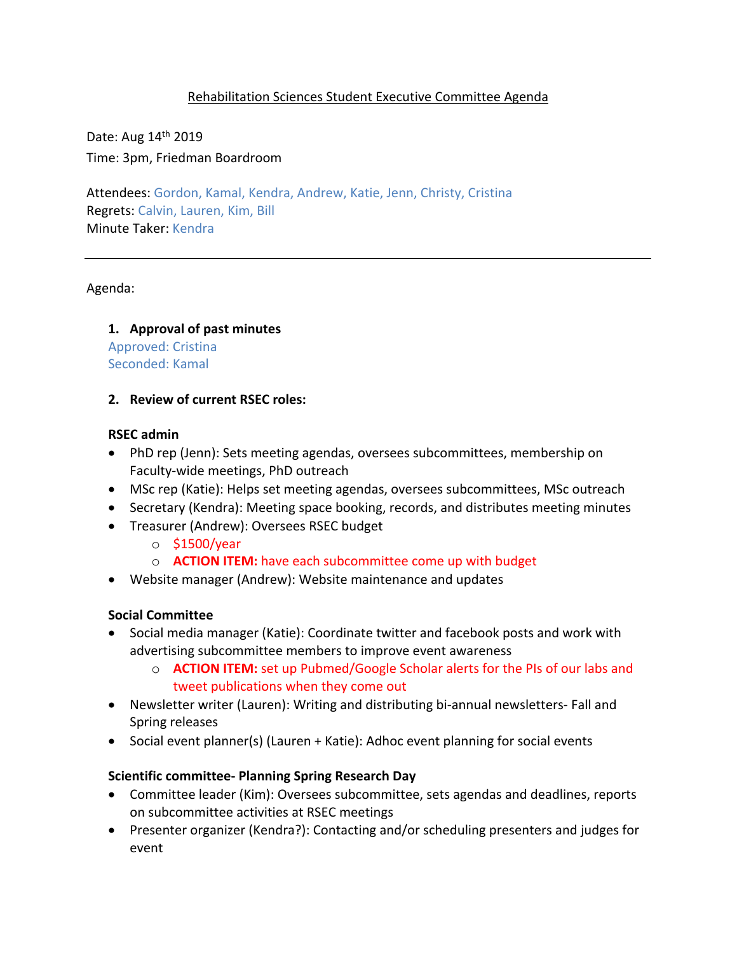# Rehabilitation Sciences Student Executive Committee Agenda

Date: Aug 14th 2019 Time: 3pm, Friedman Boardroom

Attendees: Gordon, Kamal, Kendra, Andrew, Katie, Jenn, Christy, Cristina Regrets: Calvin, Lauren, Kim, Bill Minute Taker: Kendra

Agenda:

# **1. Approval of past minutes**

Approved: Cristina Seconded: Kamal

## **2. Review of current RSEC roles:**

## **RSEC admin**

- PhD rep (Jenn): Sets meeting agendas, oversees subcommittees, membership on Faculty-wide meetings, PhD outreach
- MSc rep (Katie): Helps set meeting agendas, oversees subcommittees, MSc outreach
- Secretary (Kendra): Meeting space booking, records, and distributes meeting minutes
- Treasurer (Andrew): Oversees RSEC budget
	- o \$1500/year
	- o **ACTION ITEM:** have each subcommittee come up with budget
- Website manager (Andrew): Website maintenance and updates

## **Social Committee**

- Social media manager (Katie): Coordinate twitter and facebook posts and work with advertising subcommittee members to improve event awareness
	- o **ACTION ITEM:** set up Pubmed/Google Scholar alerts for the PIs of our labs and tweet publications when they come out
- Newsletter writer (Lauren): Writing and distributing bi-annual newsletters- Fall and Spring releases
- Social event planner(s) (Lauren + Katie): Adhoc event planning for social events

## **Scientific committee- Planning Spring Research Day**

- Committee leader (Kim): Oversees subcommittee, sets agendas and deadlines, reports on subcommittee activities at RSEC meetings
- Presenter organizer (Kendra?): Contacting and/or scheduling presenters and judges for event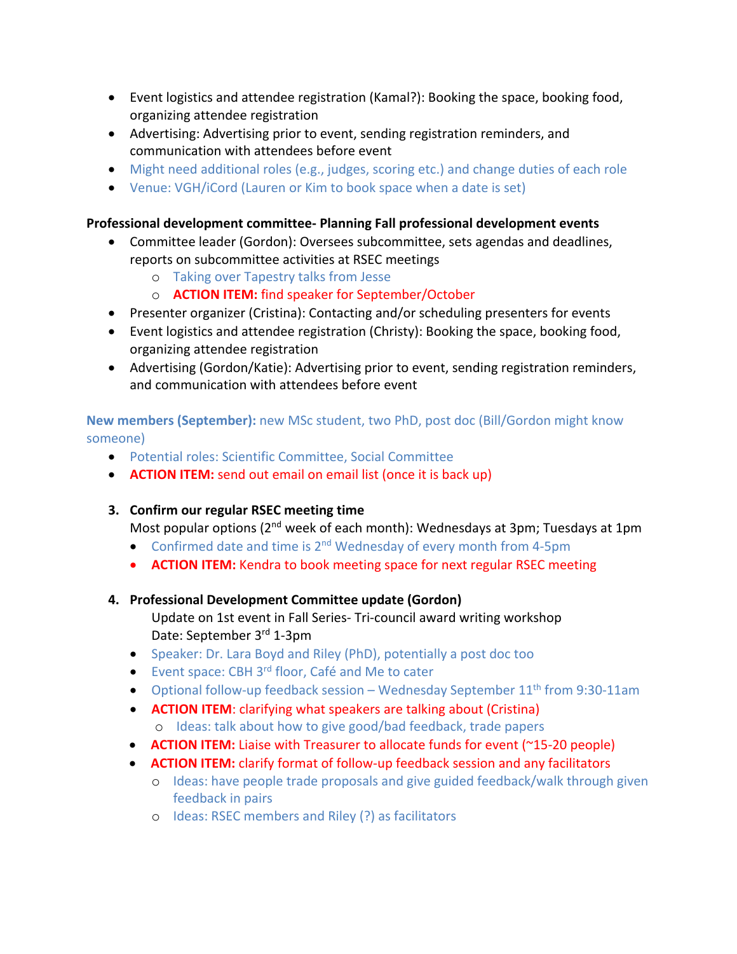- Event logistics and attendee registration (Kamal?): Booking the space, booking food, organizing attendee registration
- Advertising: Advertising prior to event, sending registration reminders, and communication with attendees before event
- Might need additional roles (e.g., judges, scoring etc.) and change duties of each role
- Venue: VGH/iCord (Lauren or Kim to book space when a date is set)

# **Professional development committee- Planning Fall professional development events**

- Committee leader (Gordon): Oversees subcommittee, sets agendas and deadlines, reports on subcommittee activities at RSEC meetings
	- o Taking over Tapestry talks from Jesse
	- o **ACTION ITEM:** find speaker for September/October
- Presenter organizer (Cristina): Contacting and/or scheduling presenters for events
- Event logistics and attendee registration (Christy): Booking the space, booking food, organizing attendee registration
- Advertising (Gordon/Katie): Advertising prior to event, sending registration reminders, and communication with attendees before event

**New members (September):** new MSc student, two PhD, post doc (Bill/Gordon might know someone)

- Potential roles: Scientific Committee, Social Committee
- **ACTION ITEM:** send out email on email list (once it is back up)

# **3. Confirm our regular RSEC meeting time**

Most popular options ( $2^{nd}$  week of each month): Wednesdays at 3pm; Tuesdays at 1pm

- Confirmed date and time is 2<sup>nd</sup> Wednesday of every month from 4-5pm
- **ACTION ITEM:** Kendra to book meeting space for next regular RSEC meeting

# **4. Professional Development Committee update (Gordon)**

- Update on 1st event in Fall Series- Tri-council award writing workshop Date: September 3rd 1-3pm
- Speaker: Dr. Lara Boyd and Riley (PhD), potentially a post doc too
- Event space: CBH 3<sup>rd</sup> floor, Café and Me to cater
- Optional follow-up feedback session Wednesday September  $11<sup>th</sup>$  from 9:30-11am
- **ACTION ITEM**: clarifying what speakers are talking about (Cristina) o Ideas: talk about how to give good/bad feedback, trade papers
- **ACTION ITEM:** Liaise with Treasurer to allocate funds for event (~15-20 people)
- **ACTION ITEM:** clarify format of follow-up feedback session and any facilitators
	- o Ideas: have people trade proposals and give guided feedback/walk through given feedback in pairs
	- o Ideas: RSEC members and Riley (?) as facilitators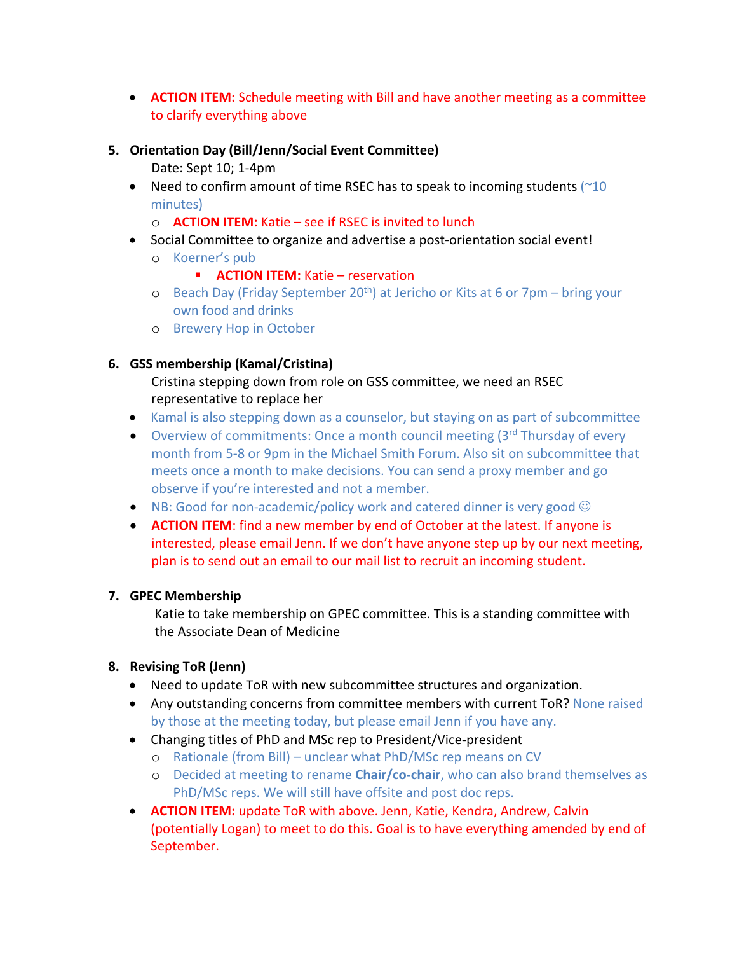• **ACTION ITEM:** Schedule meeting with Bill and have another meeting as a committee to clarify everything above

#### **5. Orientation Day (Bill/Jenn/Social Event Committee)**

Date: Sept 10; 1-4pm

- Need to confirm amount of time RSEC has to speak to incoming students  $(^{210}$ minutes)
	- o **ACTION ITEM:** Katie see if RSEC is invited to lunch
- Social Committee to organize and advertise a post-orientation social event!
	- o Koerner's pub
		- **E ACTION ITEM:** Katie reservation
	- o Beach Day (Friday September 20<sup>th</sup>) at Jericho or Kits at 6 or 7pm bring your own food and drinks
	- o Brewery Hop in October

# **6. GSS membership (Kamal/Cristina)**

Cristina stepping down from role on GSS committee, we need an RSEC representative to replace her

- Kamal is also stepping down as a counselor, but staying on as part of subcommittee
- Overview of commitments: Once a month council meeting  $(3<sup>rd</sup>$  Thursday of every month from 5-8 or 9pm in the Michael Smith Forum. Also sit on subcommittee that meets once a month to make decisions. You can send a proxy member and go observe if you're interested and not a member.
- NB: Good for non-academic/policy work and catered dinner is very good  $\odot$
- **ACTION ITEM**: find a new member by end of October at the latest. If anyone is interested, please email Jenn. If we don't have anyone step up by our next meeting, plan is to send out an email to our mail list to recruit an incoming student.

## **7. GPEC Membership**

Katie to take membership on GPEC committee. This is a standing committee with the Associate Dean of Medicine

## **8. Revising ToR (Jenn)**

- Need to update ToR with new subcommittee structures and organization.
- Any outstanding concerns from committee members with current ToR? None raised by those at the meeting today, but please email Jenn if you have any.
- Changing titles of PhD and MSc rep to President/Vice-president
	- o Rationale (from Bill) unclear what PhD/MSc rep means on CV
	- o Decided at meeting to rename **Chair/co-chair**, who can also brand themselves as PhD/MSc reps. We will still have offsite and post doc reps.
- **ACTION ITEM:** update ToR with above. Jenn, Katie, Kendra, Andrew, Calvin (potentially Logan) to meet to do this. Goal is to have everything amended by end of September.